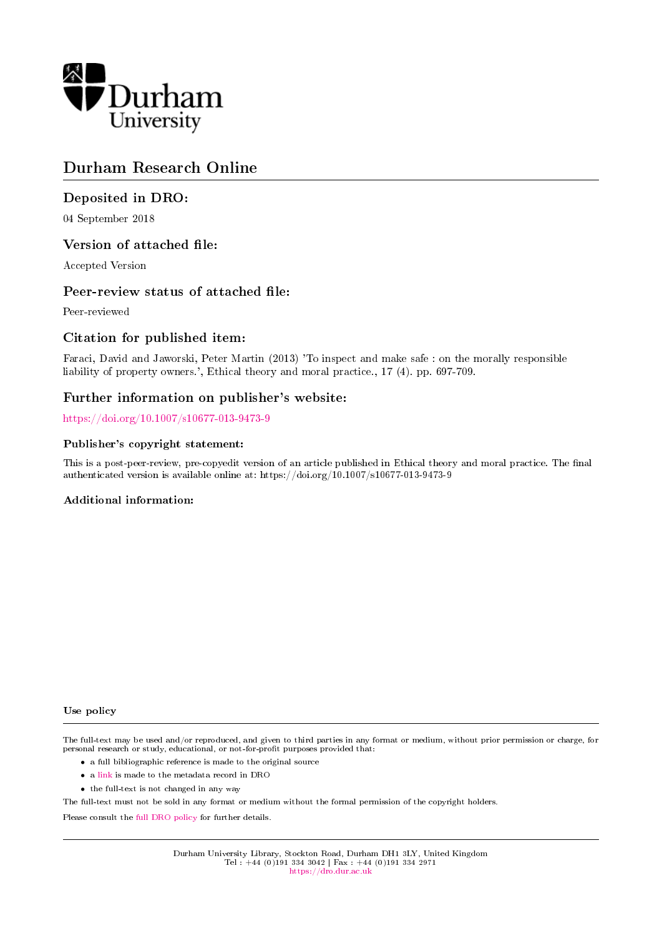

# Durham Research Online

# Deposited in DRO:

04 September 2018

# Version of attached file:

Accepted Version

# Peer-review status of attached file:

Peer-reviewed

# Citation for published item:

Faraci, David and Jaworski, Peter Martin (2013) 'To inspect and make safe : on the morally responsible liability of property owners.', Ethical theory and moral practice., 17 (4). pp. 697-709.

# Further information on publisher's website:

<https://doi.org/10.1007/s10677-013-9473-9>

### Publisher's copyright statement:

This is a post-peer-review, pre-copyedit version of an article published in Ethical theory and moral practice. The final authenticated version is available online at: https://doi.org/10.1007/s10677-013-9473-9

### Additional information:

Use policy

The full-text may be used and/or reproduced, and given to third parties in any format or medium, without prior permission or charge, for personal research or study, educational, or not-for-profit purposes provided that:

- a full bibliographic reference is made to the original source
- a [link](http://dro.dur.ac.uk/26069/) is made to the metadata record in DRO
- the full-text is not changed in any way

The full-text must not be sold in any format or medium without the formal permission of the copyright holders.

Please consult the [full DRO policy](https://dro.dur.ac.uk/policies/usepolicy.pdf) for further details.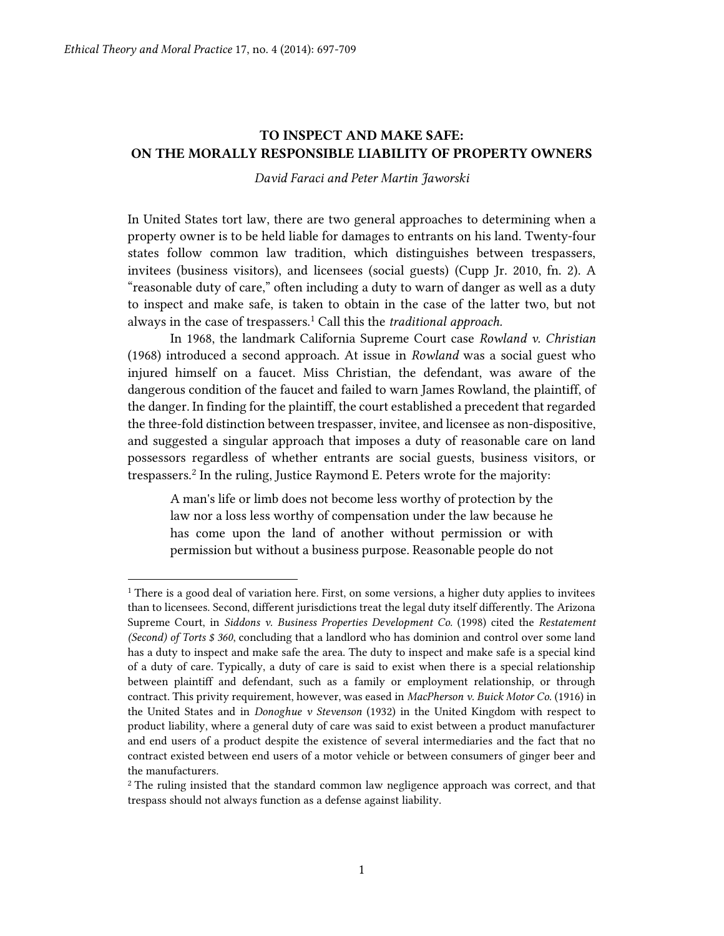$\overline{a}$ 

# **TO INSPECT AND MAKE SAFE: ON THE MORALLY RESPONSIBLE LIABILITY OF PROPERTY OWNERS**

*David Faraci and Peter Martin Jaworski*

In United States tort law, there are two general approaches to determining when a property owner is to be held liable for damages to entrants on his land. Twenty-four states follow common law tradition, which distinguishes between trespassers, invitees (business visitors), and licensees (social guests) (Cupp Jr. 2010, fn. 2). A "reasonable duty of care," often including a duty to warn of danger as well as a duty to inspect and make safe, is taken to obtain in the case of the latter two, but not always in the case of trespassers.<sup>1</sup> Call this the *traditional approach.*

In 1968, the landmark California Supreme Court case *Rowland v. Christian* (1968) introduced a second approach. At issue in *Rowland* was a social guest who injured himself on a faucet. Miss Christian, the defendant, was aware of the dangerous condition of the faucet and failed to warn James Rowland, the plaintiff, of the danger. In finding for the plaintiff, the court established a precedent that regarded the three-fold distinction between trespasser, invitee, and licensee as non-dispositive, and suggested a singular approach that imposes a duty of reasonable care on land possessors regardless of whether entrants are social guests, business visitors, or trespassers.<sup>2</sup> In the ruling, Justice Raymond E. Peters wrote for the majority:

A man's life or limb does not become less worthy of protection by the law nor a loss less worthy of compensation under the law because he has come upon the land of another without permission or with permission but without a business purpose. Reasonable people do not

 $<sup>1</sup>$  There is a good deal of variation here. First, on some versions, a higher duty applies to invitees</sup> than to licensees. Second, different jurisdictions treat the legal duty itself differently. The Arizona Supreme Court, in *Siddons v. Business Properties Development Co.* (1998) cited the *Restatement (Second) of Torts \$ 360*, concluding that a landlord who has dominion and control over some land has a duty to inspect and make safe the area. The duty to inspect and make safe is a special kind of a duty of care. Typically, a duty of care is said to exist when there is a special relationship between plaintiff and defendant, such as a family or employment relationship, or through contract. This privity requirement, however, was eased in *MacPherson v. Buick Motor Co.* (1916) in the United States and in *Donoghue v Stevenson* (1932) in the United Kingdom with respect to product liability, where a general duty of care was said to exist between a product manufacturer and end users of a product despite the existence of several intermediaries and the fact that no contract existed between end users of a motor vehicle or between consumers of ginger beer and the manufacturers.

<sup>2</sup> The ruling insisted that the standard common law negligence approach was correct, and that trespass should not always function as a defense against liability.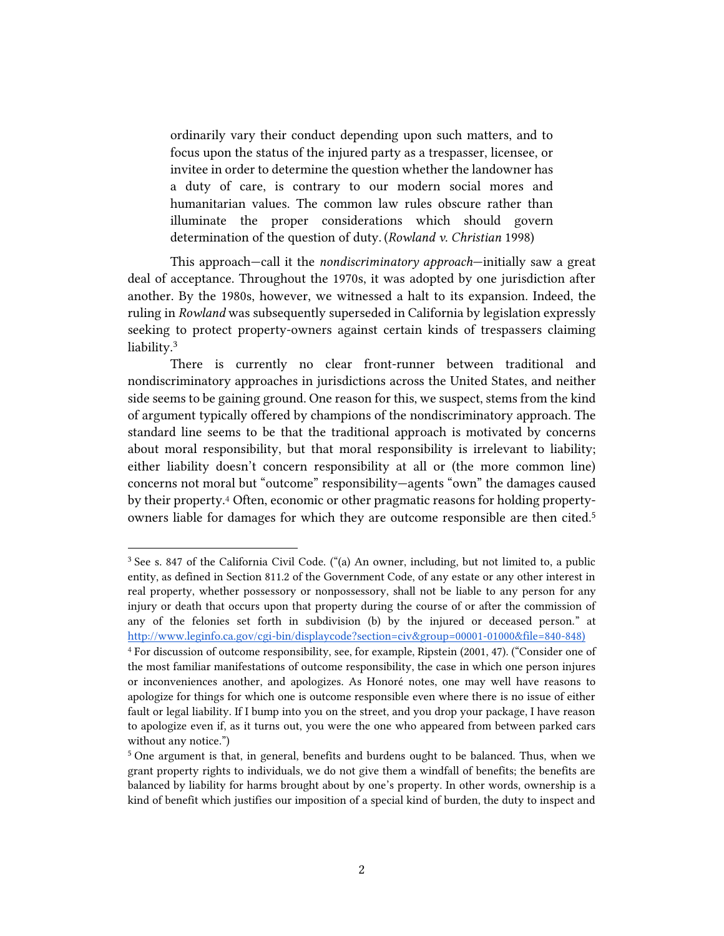ordinarily vary their conduct depending upon such matters, and to focus upon the status of the injured party as a trespasser, licensee, or invitee in order to determine the question whether the landowner has a duty of care, is contrary to our modern social mores and humanitarian values. The common law rules obscure rather than illuminate the proper considerations which should govern determination of the question of duty. (*Rowland v. Christian* 1998)

This approach—call it the *nondiscriminatory approach*—initially saw a great deal of acceptance. Throughout the 1970s, it was adopted by one jurisdiction after another. By the 1980s, however, we witnessed a halt to its expansion. Indeed, the ruling in *Rowland* was subsequently superseded in California by legislation expressly seeking to protect property-owners against certain kinds of trespassers claiming liability.<sup>3</sup>

There is currently no clear front-runner between traditional and nondiscriminatory approaches in jurisdictions across the United States, and neither side seems to be gaining ground. One reason for this, we suspect, stems from the kind of argument typically offered by champions of the nondiscriminatory approach. The standard line seems to be that the traditional approach is motivated by concerns about moral responsibility, but that moral responsibility is irrelevant to liability; either liability doesn't concern responsibility at all or (the more common line) concerns not moral but "outcome" responsibility—agents "own" the damages caused by their property.<sup>4</sup> Often, economic or other pragmatic reasons for holding propertyowners liable for damages for which they are outcome responsible are then cited. 5

<sup>3</sup> See s. 847 of the California Civil Code. ("(a) An owner, including, but not limited to, a public entity, as defined in Section 811.2 of the Government Code, of any estate or any other interest in real property, whether possessory or nonpossessory, shall not be liable to any person for any injury or death that occurs upon that property during the course of or after the commission of any of the felonies set forth in subdivision (b) by the injured or deceased person." at [http://www.leginfo.ca.gov/cgi-bin/displaycode?section=civ&group=00001-01000&file=840-848\)](http://www.leginfo.ca.gov/cgi-bin/displaycode?section=civ&group=00001-01000&file=840-848)

<sup>4</sup> For discussion of outcome responsibility, see, for example, Ripstein (2001, 47). ("Consider one of the most familiar manifestations of outcome responsibility, the case in which one person injures or inconveniences another, and apologizes. As Honoré notes, one may well have reasons to apologize for things for which one is outcome responsible even where there is no issue of either fault or legal liability. If I bump into you on the street, and you drop your package, I have reason to apologize even if, as it turns out, you were the one who appeared from between parked cars without any notice.")

<sup>5</sup> One argument is that, in general, benefits and burdens ought to be balanced. Thus, when we grant property rights to individuals, we do not give them a windfall of benefits; the benefits are balanced by liability for harms brought about by one's property. In other words, ownership is a kind of benefit which justifies our imposition of a special kind of burden, the duty to inspect and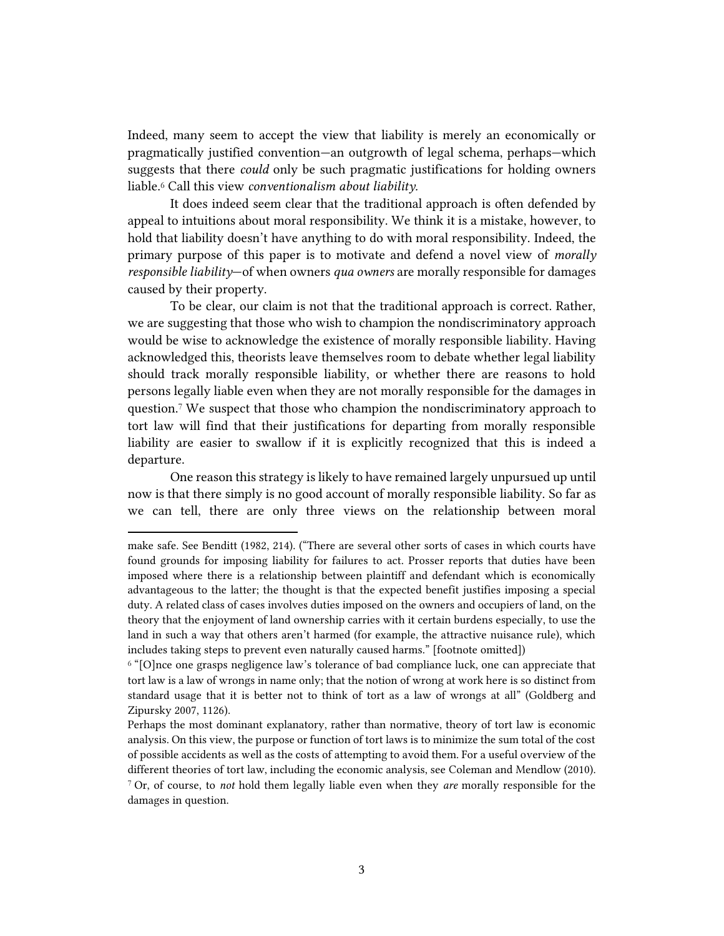Indeed, many seem to accept the view that liability is merely an economically or pragmatically justified convention—an outgrowth of legal schema, perhaps—which suggests that there *could* only be such pragmatic justifications for holding owners liable. <sup>6</sup> Call this view *conventionalism about liability.*

It does indeed seem clear that the traditional approach is often defended by appeal to intuitions about moral responsibility. We think it is a mistake, however, to hold that liability doesn't have anything to do with moral responsibility. Indeed, the primary purpose of this paper is to motivate and defend a novel view of *morally responsible liability*—of when owners *qua owners* are morally responsible for damages caused by their property.

To be clear, our claim is not that the traditional approach is correct. Rather, we are suggesting that those who wish to champion the nondiscriminatory approach would be wise to acknowledge the existence of morally responsible liability. Having acknowledged this, theorists leave themselves room to debate whether legal liability should track morally responsible liability, or whether there are reasons to hold persons legally liable even when they are not morally responsible for the damages in question.<sup>7</sup> We suspect that those who champion the nondiscriminatory approach to tort law will find that their justifications for departing from morally responsible liability are easier to swallow if it is explicitly recognized that this is indeed a departure.

One reason this strategy is likely to have remained largely unpursued up until now is that there simply is no good account of morally responsible liability. So far as we can tell, there are only three views on the relationship between moral

make safe. See Benditt (1982, 214). ("There are several other sorts of cases in which courts have found grounds for imposing liability for failures to act. Prosser reports that duties have been imposed where there is a relationship between plaintiff and defendant which is economically advantageous to the latter; the thought is that the expected benefit justifies imposing a special duty. A related class of cases involves duties imposed on the owners and occupiers of land, on the theory that the enjoyment of land ownership carries with it certain burdens especially, to use the land in such a way that others aren't harmed (for example, the attractive nuisance rule), which includes taking steps to prevent even naturally caused harms." [footnote omitted])

 $6$  "[O]nce one grasps negligence law's tolerance of bad compliance luck, one can appreciate that tort law is a law of wrongs in name only; that the notion of wrong at work here is so distinct from standard usage that it is better not to think of tort as a law of wrongs at all" (Goldberg and Zipursky 2007, 1126).

Perhaps the most dominant explanatory, rather than normative, theory of tort law is economic analysis. On this view, the purpose or function of tort laws is to minimize the sum total of the cost of possible accidents as well as the costs of attempting to avoid them. For a useful overview of the different theories of tort law, including the economic analysis, see Coleman and Mendlow (2010). <sup>7</sup> Or, of course, to *not* hold them legally liable even when they *are* morally responsible for the

damages in question.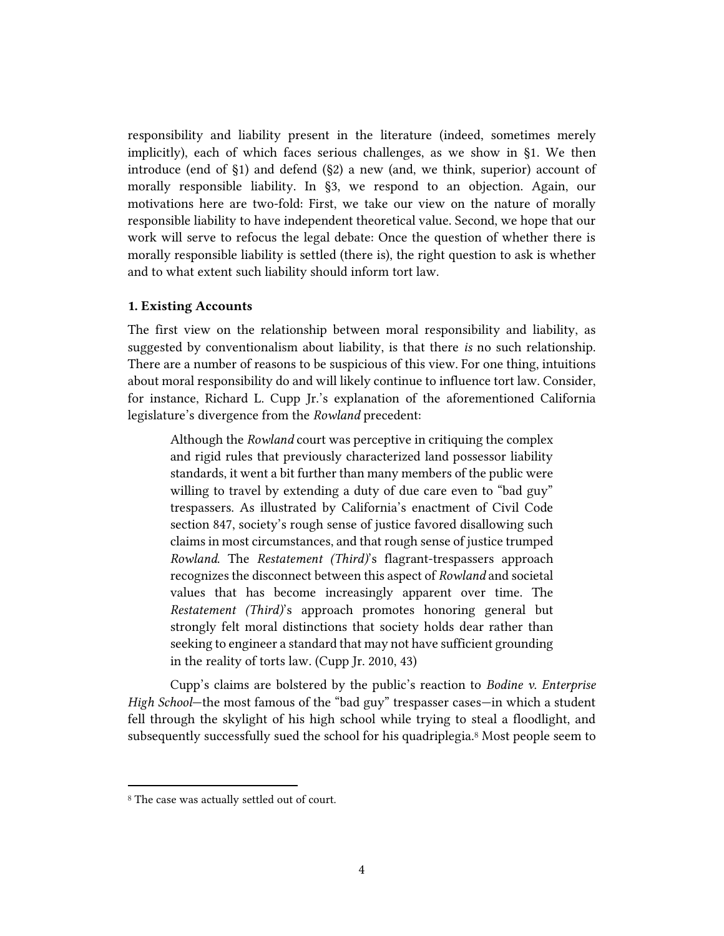responsibility and liability present in the literature (indeed, sometimes merely implicitly), each of which faces serious challenges, as we show in §1. We then introduce (end of §1) and defend (§2) a new (and, we think, superior) account of morally responsible liability. In §3, we respond to an objection. Again, our motivations here are two-fold: First, we take our view on the nature of morally responsible liability to have independent theoretical value. Second, we hope that our work will serve to refocus the legal debate: Once the question of whether there is morally responsible liability is settled (there is), the right question to ask is whether and to what extent such liability should inform tort law.

### **1. Existing Accounts**

The first view on the relationship between moral responsibility and liability, as suggested by conventionalism about liability, is that there *is* no such relationship. There are a number of reasons to be suspicious of this view. For one thing, intuitions about moral responsibility do and will likely continue to influence tort law. Consider, for instance, Richard L. Cupp Jr.'s explanation of the aforementioned California legislature's divergence from the *Rowland* precedent:

Although the *Rowland* court was perceptive in critiquing the complex and rigid rules that previously characterized land possessor liability standards, it went a bit further than many members of the public were willing to travel by extending a duty of due care even to "bad guy" trespassers. As illustrated by California's enactment of Civil Code section 847, society's rough sense of justice favored disallowing such claims in most circumstances, and that rough sense of justice trumped *Rowland*. The *Restatement (Third)*'s flagrant-trespassers approach recognizes the disconnect between this aspect of *Rowland* and societal values that has become increasingly apparent over time. The *Restatement (Third)*'s approach promotes honoring general but strongly felt moral distinctions that society holds dear rather than seeking to engineer a standard that may not have sufficient grounding in the reality of torts law. (Cupp Jr. 2010, 43)

Cupp's claims are bolstered by the public's reaction to *Bodine v. Enterprise High School*—the most famous of the "bad guy" trespasser cases—in which a student fell through the skylight of his high school while trying to steal a floodlight, and subsequently successfully sued the school for his quadriplegia.<sup>8</sup> Most people seem to

<sup>8</sup> The case was actually settled out of court.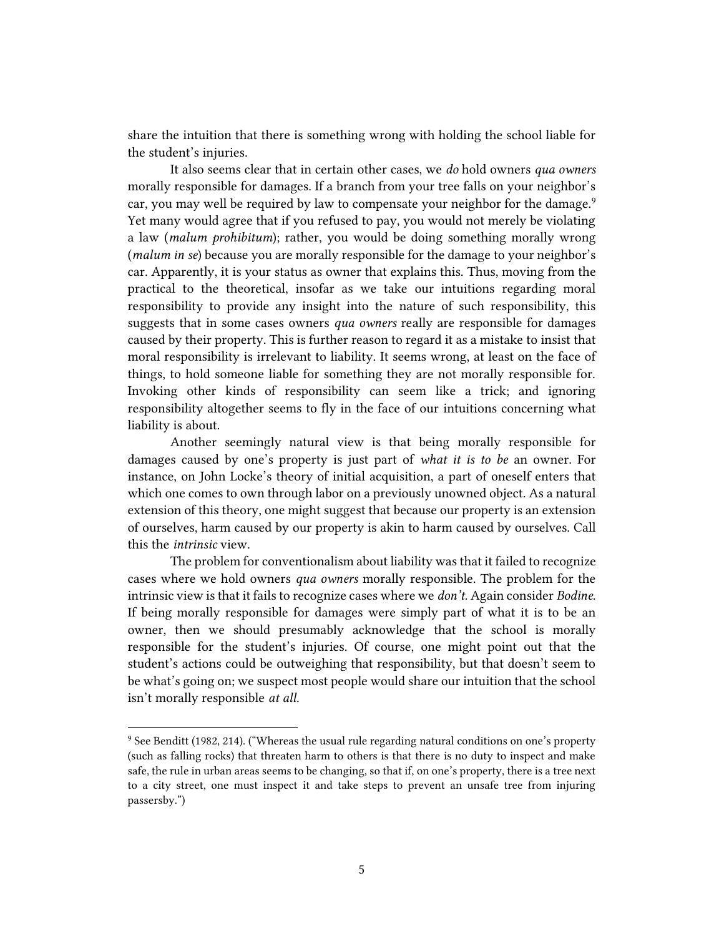share the intuition that there is something wrong with holding the school liable for the student's injuries.

It also seems clear that in certain other cases, we *do* hold owners *qua owners*  morally responsible for damages. If a branch from your tree falls on your neighbor's car, you may well be required by law to compensate your neighbor for the damage.<sup>9</sup> Yet many would agree that if you refused to pay, you would not merely be violating a law (*malum prohibitum*); rather, you would be doing something morally wrong (*malum in se*) because you are morally responsible for the damage to your neighbor's car. Apparently, it is your status as owner that explains this. Thus, moving from the practical to the theoretical, insofar as we take our intuitions regarding moral responsibility to provide any insight into the nature of such responsibility, this suggests that in some cases owners *qua owners* really are responsible for damages caused by their property. This is further reason to regard it as a mistake to insist that moral responsibility is irrelevant to liability. It seems wrong, at least on the face of things, to hold someone liable for something they are not morally responsible for. Invoking other kinds of responsibility can seem like a trick; and ignoring responsibility altogether seems to fly in the face of our intuitions concerning what liability is about.

Another seemingly natural view is that being morally responsible for damages caused by one's property is just part of *what it is to be* an owner. For instance, on John Locke's theory of initial acquisition, a part of oneself enters that which one comes to own through labor on a previously unowned object. As a natural extension of this theory, one might suggest that because our property is an extension of ourselves, harm caused by our property is akin to harm caused by ourselves. Call this the *intrinsic* view.

The problem for conventionalism about liability was that it failed to recognize cases where we hold owners *qua owners* morally responsible. The problem for the intrinsic view is that it fails to recognize cases where we *don't.* Again consider *Bodine*. If being morally responsible for damages were simply part of what it is to be an owner, then we should presumably acknowledge that the school is morally responsible for the student's injuries. Of course, one might point out that the student's actions could be outweighing that responsibility, but that doesn't seem to be what's going on; we suspect most people would share our intuition that the school isn't morally responsible *at all.*

<sup>9</sup> See Benditt (1982, 214). ("Whereas the usual rule regarding natural conditions on one's property (such as falling rocks) that threaten harm to others is that there is no duty to inspect and make safe, the rule in urban areas seems to be changing, so that if, on one's property, there is a tree next to a city street, one must inspect it and take steps to prevent an unsafe tree from injuring passersby.")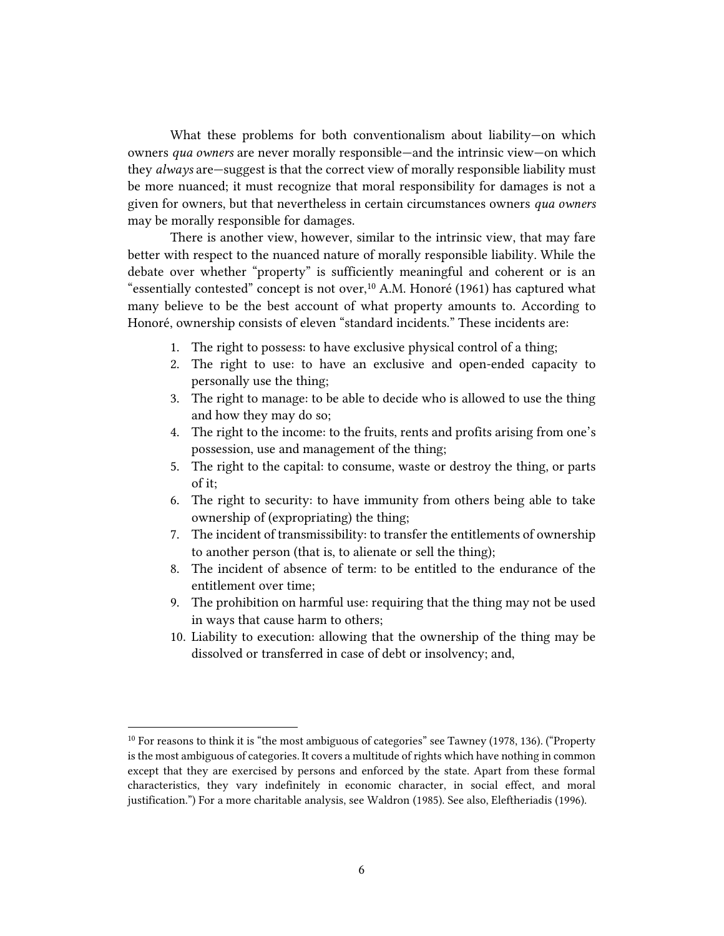What these problems for both conventionalism about liability—on which owners *qua owners* are never morally responsible—and the intrinsic view—on which they *always* are—suggest is that the correct view of morally responsible liability must be more nuanced; it must recognize that moral responsibility for damages is not a given for owners, but that nevertheless in certain circumstances owners *qua owners* may be morally responsible for damages.

There is another view, however, similar to the intrinsic view, that may fare better with respect to the nuanced nature of morally responsible liability. While the debate over whether "property" is sufficiently meaningful and coherent or is an "essentially contested" concept is not over,<sup>10</sup> A.M. Honoré (1961) has captured what many believe to be the best account of what property amounts to. According to Honoré, ownership consists of eleven "standard incidents." These incidents are:

- 1. The right to possess: to have exclusive physical control of a thing;
- 2. The right to use: to have an exclusive and open-ended capacity to personally use the thing;
- 3. The right to manage: to be able to decide who is allowed to use the thing and how they may do so;
- 4. The right to the income: to the fruits, rents and profits arising from one's possession, use and management of the thing;
- 5. The right to the capital: to consume, waste or destroy the thing, or parts of it;
- 6. The right to security: to have immunity from others being able to take ownership of (expropriating) the thing;
- 7. The incident of transmissibility: to transfer the entitlements of ownership to another person (that is, to alienate or sell the thing);
- 8. The incident of absence of term: to be entitled to the endurance of the entitlement over time;
- 9. The prohibition on harmful use: requiring that the thing may not be used in ways that cause harm to others;
- 10. Liability to execution: allowing that the ownership of the thing may be dissolved or transferred in case of debt or insolvency; and,

<sup>&</sup>lt;sup>10</sup> For reasons to think it is "the most ambiguous of categories" see Tawney (1978, 136). ("Property is the most ambiguous of categories. It covers a multitude of rights which have nothing in common except that they are exercised by persons and enforced by the state. Apart from these formal characteristics, they vary indefinitely in economic character, in social effect, and moral justification.") For a more charitable analysis, see Waldron (1985). See also, Eleftheriadis (1996).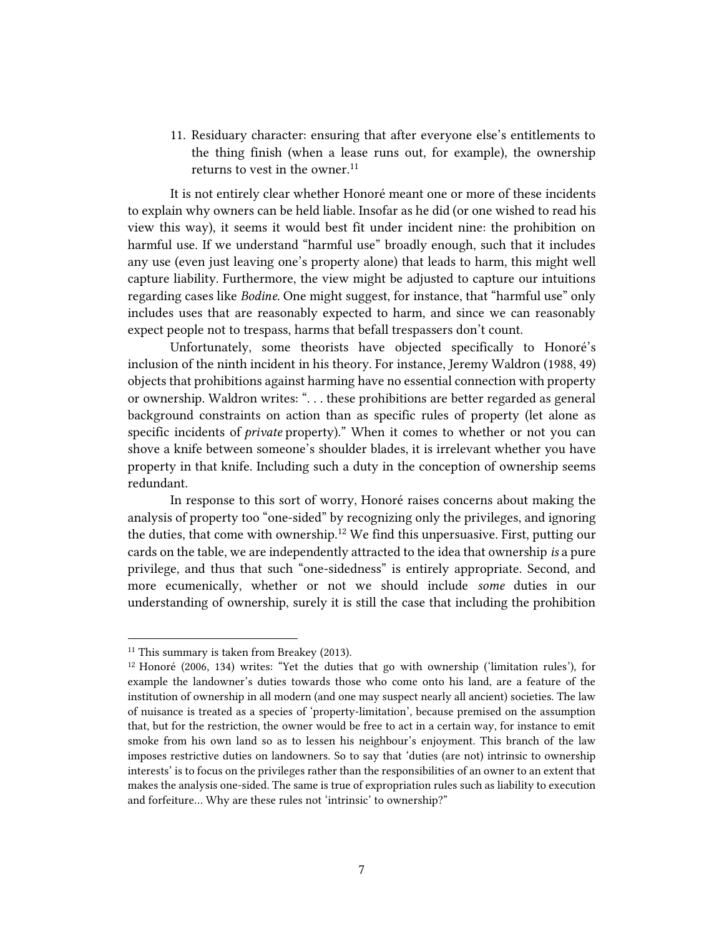11. Residuary character: ensuring that after everyone else's entitlements to the thing finish (when a lease runs out, for example), the ownership returns to vest in the owner.<sup>11</sup>

It is not entirely clear whether Honoré meant one or more of these incidents to explain why owners can be held liable. Insofar as he did (or one wished to read his view this way), it seems it would best fit under incident nine: the prohibition on harmful use. If we understand "harmful use" broadly enough, such that it includes any use (even just leaving one's property alone) that leads to harm, this might well capture liability. Furthermore, the view might be adjusted to capture our intuitions regarding cases like *Bodine.* One might suggest, for instance, that "harmful use" only includes uses that are reasonably expected to harm, and since we can reasonably expect people not to trespass, harms that befall trespassers don't count.

Unfortunately, some theorists have objected specifically to Honoré's inclusion of the ninth incident in his theory. For instance, Jeremy Waldron (1988, 49) objects that prohibitions against harming have no essential connection with property or ownership. Waldron writes: ". . . these prohibitions are better regarded as general background constraints on action than as specific rules of property (let alone as specific incidents of *private* property)." When it comes to whether or not you can shove a knife between someone's shoulder blades, it is irrelevant whether you have property in that knife. Including such a duty in the conception of ownership seems redundant.

In response to this sort of worry, Honoré raises concerns about making the analysis of property too "one-sided" by recognizing only the privileges, and ignoring the duties, that come with ownership.<sup>12</sup> We find this unpersuasive. First, putting our cards on the table, we are independently attracted to the idea that ownership *is* a pure privilege, and thus that such "one-sidedness" is entirely appropriate. Second, and more ecumenically, whether or not we should include *some* duties in our understanding of ownership, surely it is still the case that including the prohibition

<sup>&</sup>lt;sup>11</sup> This summary is taken from Breakey (2013).

<sup>12</sup> Honoré (2006, 134) writes: "Yet the duties that go with ownership ('limitation rules'), for example the landowner's duties towards those who come onto his land, are a feature of the institution of ownership in all modern (and one may suspect nearly all ancient) societies. The law of nuisance is treated as a species of 'property-limitation', because premised on the assumption that, but for the restriction, the owner would be free to act in a certain way, for instance to emit smoke from his own land so as to lessen his neighbour's enjoyment. This branch of the law imposes restrictive duties on landowners. So to say that 'duties (are not) intrinsic to ownership interests' is to focus on the privileges rather than the responsibilities of an owner to an extent that makes the analysis one-sided. The same is true of expropriation rules such as liability to execution and forfeiture… Why are these rules not 'intrinsic' to ownership?"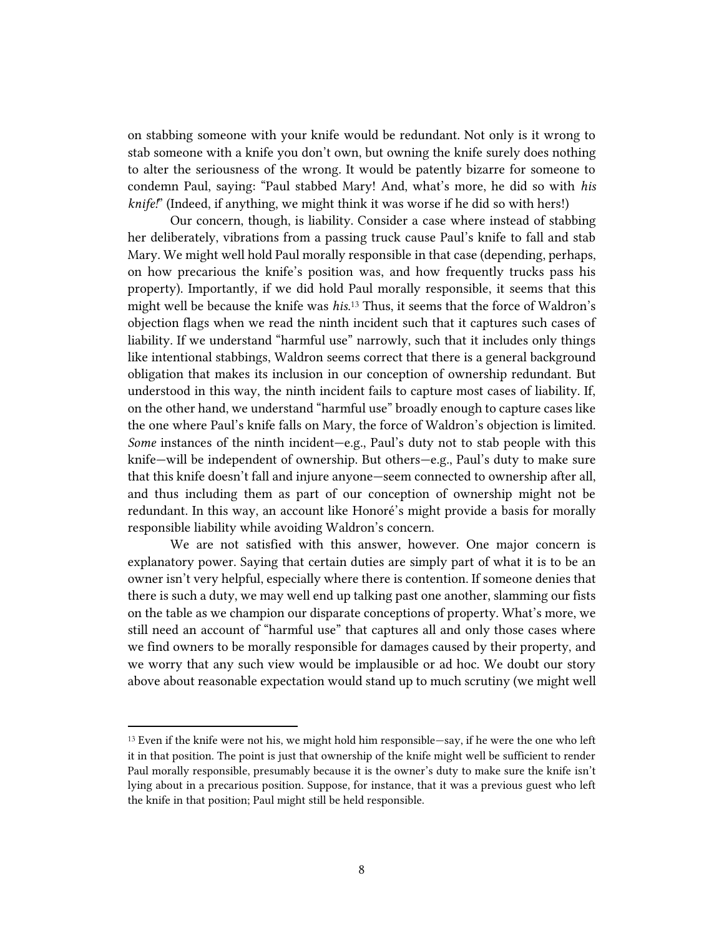on stabbing someone with your knife would be redundant. Not only is it wrong to stab someone with a knife you don't own, but owning the knife surely does nothing to alter the seriousness of the wrong. It would be patently bizarre for someone to condemn Paul, saying: "Paul stabbed Mary! And, what's more, he did so with *his knife!*" (Indeed, if anything, we might think it was worse if he did so with hers!)

Our concern, though, is liability. Consider a case where instead of stabbing her deliberately, vibrations from a passing truck cause Paul's knife to fall and stab Mary. We might well hold Paul morally responsible in that case (depending, perhaps, on how precarious the knife's position was, and how frequently trucks pass his property). Importantly, if we did hold Paul morally responsible, it seems that this might well be because the knife was *his.* <sup>13</sup> Thus, it seems that the force of Waldron's objection flags when we read the ninth incident such that it captures such cases of liability. If we understand "harmful use" narrowly, such that it includes only things like intentional stabbings, Waldron seems correct that there is a general background obligation that makes its inclusion in our conception of ownership redundant. But understood in this way, the ninth incident fails to capture most cases of liability. If, on the other hand, we understand "harmful use" broadly enough to capture cases like the one where Paul's knife falls on Mary, the force of Waldron's objection is limited. *Some* instances of the ninth incident—e.g., Paul's duty not to stab people with this knife—will be independent of ownership. But others—e.g., Paul's duty to make sure that this knife doesn't fall and injure anyone—seem connected to ownership after all, and thus including them as part of our conception of ownership might not be redundant. In this way, an account like Honoré's might provide a basis for morally responsible liability while avoiding Waldron's concern.

We are not satisfied with this answer, however. One major concern is explanatory power. Saying that certain duties are simply part of what it is to be an owner isn't very helpful, especially where there is contention. If someone denies that there is such a duty, we may well end up talking past one another, slamming our fists on the table as we champion our disparate conceptions of property. What's more, we still need an account of "harmful use" that captures all and only those cases where we find owners to be morally responsible for damages caused by their property, and we worry that any such view would be implausible or ad hoc. We doubt our story above about reasonable expectation would stand up to much scrutiny (we might well

<sup>13</sup> Even if the knife were not his, we might hold him responsible—say, if he were the one who left it in that position. The point is just that ownership of the knife might well be sufficient to render Paul morally responsible, presumably because it is the owner's duty to make sure the knife isn't lying about in a precarious position. Suppose, for instance, that it was a previous guest who left the knife in that position; Paul might still be held responsible.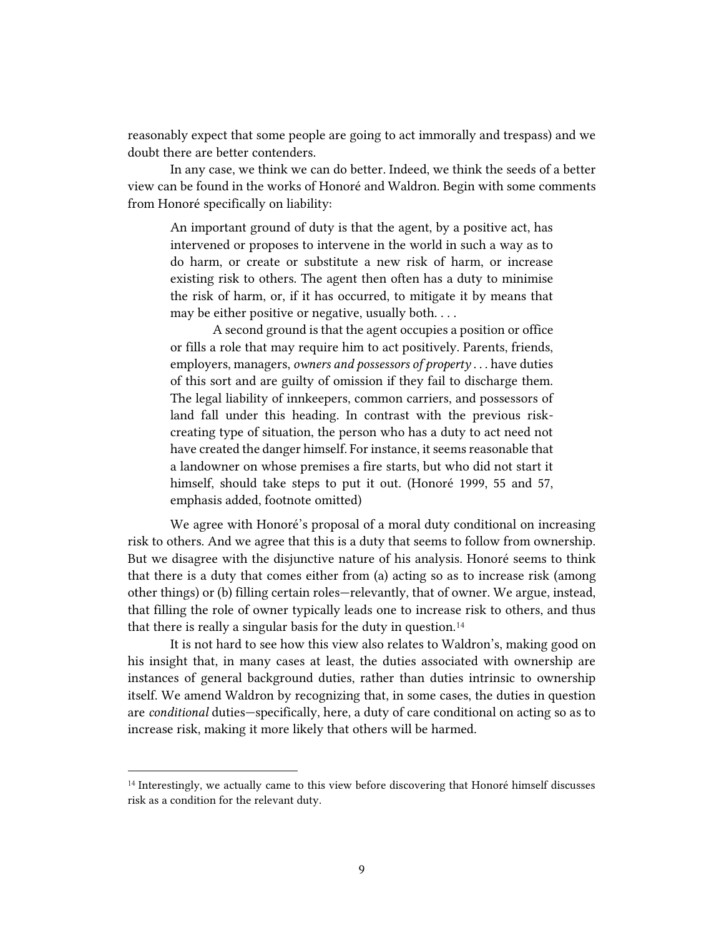reasonably expect that some people are going to act immorally and trespass) and we doubt there are better contenders.

In any case, we think we can do better. Indeed, we think the seeds of a better view can be found in the works of Honoré and Waldron. Begin with some comments from Honoré specifically on liability:

An important ground of duty is that the agent, by a positive act, has intervened or proposes to intervene in the world in such a way as to do harm, or create or substitute a new risk of harm, or increase existing risk to others. The agent then often has a duty to minimise the risk of harm, or, if it has occurred, to mitigate it by means that may be either positive or negative, usually both. . . .

A second ground is that the agent occupies a position or office or fills a role that may require him to act positively. Parents, friends, employers, managers, *owners and possessors of property* . . . have duties of this sort and are guilty of omission if they fail to discharge them. The legal liability of innkeepers, common carriers, and possessors of land fall under this heading. In contrast with the previous riskcreating type of situation, the person who has a duty to act need not have created the danger himself. For instance, it seems reasonable that a landowner on whose premises a fire starts, but who did not start it himself, should take steps to put it out. (Honoré 1999, 55 and 57, emphasis added, footnote omitted)

We agree with Honoré's proposal of a moral duty conditional on increasing risk to others. And we agree that this is a duty that seems to follow from ownership. But we disagree with the disjunctive nature of his analysis. Honoré seems to think that there is a duty that comes either from (a) acting so as to increase risk (among other things) or (b) filling certain roles—relevantly, that of owner. We argue, instead, that filling the role of owner typically leads one to increase risk to others, and thus that there is really a singular basis for the duty in question.<sup>14</sup>

It is not hard to see how this view also relates to Waldron's, making good on his insight that, in many cases at least, the duties associated with ownership are instances of general background duties, rather than duties intrinsic to ownership itself. We amend Waldron by recognizing that, in some cases, the duties in question are *conditional* duties—specifically, here, a duty of care conditional on acting so as to increase risk, making it more likely that others will be harmed.

<sup>14</sup> Interestingly, we actually came to this view before discovering that Honoré himself discusses risk as a condition for the relevant duty.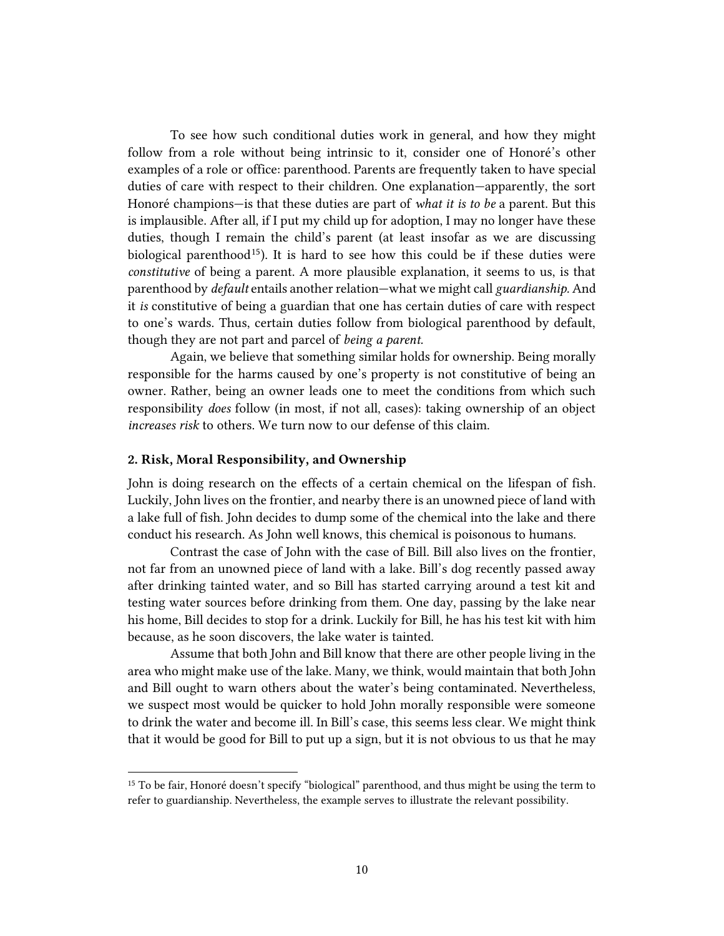To see how such conditional duties work in general, and how they might follow from a role without being intrinsic to it, consider one of Honoré's other examples of a role or office: parenthood. Parents are frequently taken to have special duties of care with respect to their children. One explanation—apparently, the sort Honoré champions—is that these duties are part of *what it is to be* a parent. But this is implausible. After all, if I put my child up for adoption, I may no longer have these duties, though I remain the child's parent (at least insofar as we are discussing biological parenthood<sup>15</sup>). It is hard to see how this could be if these duties were *constitutive* of being a parent. A more plausible explanation, it seems to us, is that parenthood by *default* entails another relation—what we might call *guardianship.* And it *is* constitutive of being a guardian that one has certain duties of care with respect to one's wards. Thus, certain duties follow from biological parenthood by default, though they are not part and parcel of *being a parent.*

Again, we believe that something similar holds for ownership. Being morally responsible for the harms caused by one's property is not constitutive of being an owner. Rather, being an owner leads one to meet the conditions from which such responsibility *does* follow (in most, if not all, cases): taking ownership of an object *increases risk* to others. We turn now to our defense of this claim.

### **2. Risk, Moral Responsibility, and Ownership**

 $\overline{a}$ 

John is doing research on the effects of a certain chemical on the lifespan of fish. Luckily, John lives on the frontier, and nearby there is an unowned piece of land with a lake full of fish. John decides to dump some of the chemical into the lake and there conduct his research. As John well knows, this chemical is poisonous to humans.

Contrast the case of John with the case of Bill. Bill also lives on the frontier, not far from an unowned piece of land with a lake. Bill's dog recently passed away after drinking tainted water, and so Bill has started carrying around a test kit and testing water sources before drinking from them. One day, passing by the lake near his home, Bill decides to stop for a drink. Luckily for Bill, he has his test kit with him because, as he soon discovers, the lake water is tainted.

Assume that both John and Bill know that there are other people living in the area who might make use of the lake. Many, we think, would maintain that both John and Bill ought to warn others about the water's being contaminated. Nevertheless, we suspect most would be quicker to hold John morally responsible were someone to drink the water and become ill. In Bill's case, this seems less clear. We might think that it would be good for Bill to put up a sign, but it is not obvious to us that he may

<sup>&</sup>lt;sup>15</sup> To be fair, Honoré doesn't specify "biological" parenthood, and thus might be using the term to refer to guardianship. Nevertheless, the example serves to illustrate the relevant possibility.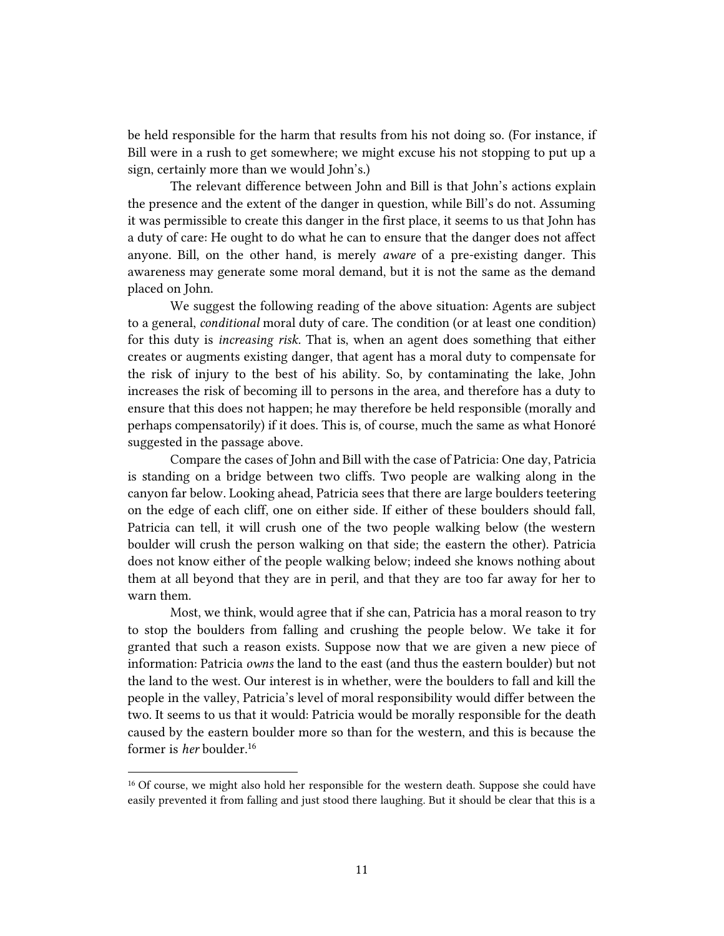be held responsible for the harm that results from his not doing so. (For instance, if Bill were in a rush to get somewhere; we might excuse his not stopping to put up a sign, certainly more than we would John's.)

The relevant difference between John and Bill is that John's actions explain the presence and the extent of the danger in question, while Bill's do not. Assuming it was permissible to create this danger in the first place, it seems to us that John has a duty of care: He ought to do what he can to ensure that the danger does not affect anyone. Bill, on the other hand, is merely *aware* of a pre-existing danger. This awareness may generate some moral demand, but it is not the same as the demand placed on John.

We suggest the following reading of the above situation: Agents are subject to a general, *conditional* moral duty of care. The condition (or at least one condition) for this duty is *increasing risk.* That is, when an agent does something that either creates or augments existing danger, that agent has a moral duty to compensate for the risk of injury to the best of his ability. So, by contaminating the lake, John increases the risk of becoming ill to persons in the area, and therefore has a duty to ensure that this does not happen; he may therefore be held responsible (morally and perhaps compensatorily) if it does. This is, of course, much the same as what Honoré suggested in the passage above.

Compare the cases of John and Bill with the case of Patricia: One day, Patricia is standing on a bridge between two cliffs. Two people are walking along in the canyon far below. Looking ahead, Patricia sees that there are large boulders teetering on the edge of each cliff, one on either side. If either of these boulders should fall, Patricia can tell, it will crush one of the two people walking below (the western boulder will crush the person walking on that side; the eastern the other). Patricia does not know either of the people walking below; indeed she knows nothing about them at all beyond that they are in peril, and that they are too far away for her to warn them.

Most, we think, would agree that if she can, Patricia has a moral reason to try to stop the boulders from falling and crushing the people below. We take it for granted that such a reason exists. Suppose now that we are given a new piece of information: Patricia *owns* the land to the east (and thus the eastern boulder) but not the land to the west. Our interest is in whether, were the boulders to fall and kill the people in the valley, Patricia's level of moral responsibility would differ between the two. It seems to us that it would: Patricia would be morally responsible for the death caused by the eastern boulder more so than for the western, and this is because the former is *her* boulder.<sup>16</sup>

<sup>&</sup>lt;sup>16</sup> Of course, we might also hold her responsible for the western death. Suppose she could have easily prevented it from falling and just stood there laughing. But it should be clear that this is a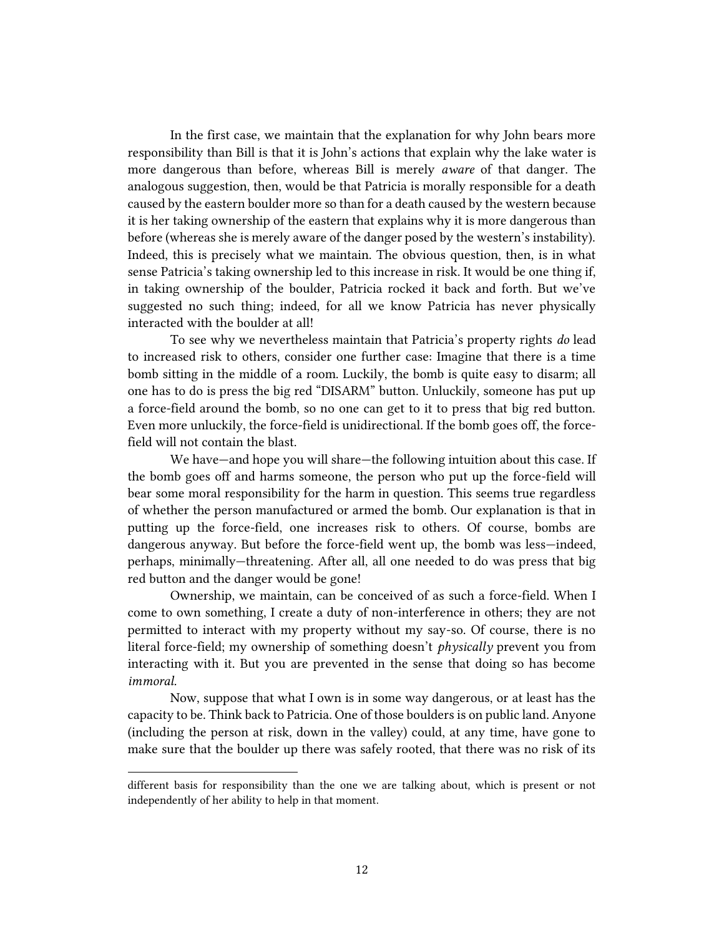In the first case, we maintain that the explanation for why John bears more responsibility than Bill is that it is John's actions that explain why the lake water is more dangerous than before, whereas Bill is merely *aware* of that danger. The analogous suggestion, then, would be that Patricia is morally responsible for a death caused by the eastern boulder more so than for a death caused by the western because it is her taking ownership of the eastern that explains why it is more dangerous than before (whereas she is merely aware of the danger posed by the western's instability). Indeed, this is precisely what we maintain. The obvious question, then, is in what sense Patricia's taking ownership led to this increase in risk. It would be one thing if, in taking ownership of the boulder, Patricia rocked it back and forth. But we've suggested no such thing; indeed, for all we know Patricia has never physically interacted with the boulder at all!

To see why we nevertheless maintain that Patricia's property rights *do* lead to increased risk to others, consider one further case: Imagine that there is a time bomb sitting in the middle of a room. Luckily, the bomb is quite easy to disarm; all one has to do is press the big red "DISARM" button. Unluckily, someone has put up a force-field around the bomb, so no one can get to it to press that big red button. Even more unluckily, the force-field is unidirectional. If the bomb goes off, the forcefield will not contain the blast.

We have—and hope you will share—the following intuition about this case. If the bomb goes off and harms someone, the person who put up the force-field will bear some moral responsibility for the harm in question. This seems true regardless of whether the person manufactured or armed the bomb. Our explanation is that in putting up the force-field, one increases risk to others. Of course, bombs are dangerous anyway. But before the force-field went up, the bomb was less—indeed, perhaps, minimally—threatening. After all, all one needed to do was press that big red button and the danger would be gone!

Ownership, we maintain, can be conceived of as such a force-field. When I come to own something, I create a duty of non-interference in others; they are not permitted to interact with my property without my say-so. Of course, there is no literal force-field; my ownership of something doesn't *physically* prevent you from interacting with it. But you are prevented in the sense that doing so has become *immoral.*

Now, suppose that what I own is in some way dangerous, or at least has the capacity to be. Think back to Patricia. One of those boulders is on public land. Anyone (including the person at risk, down in the valley) could, at any time, have gone to make sure that the boulder up there was safely rooted, that there was no risk of its

different basis for responsibility than the one we are talking about, which is present or not independently of her ability to help in that moment.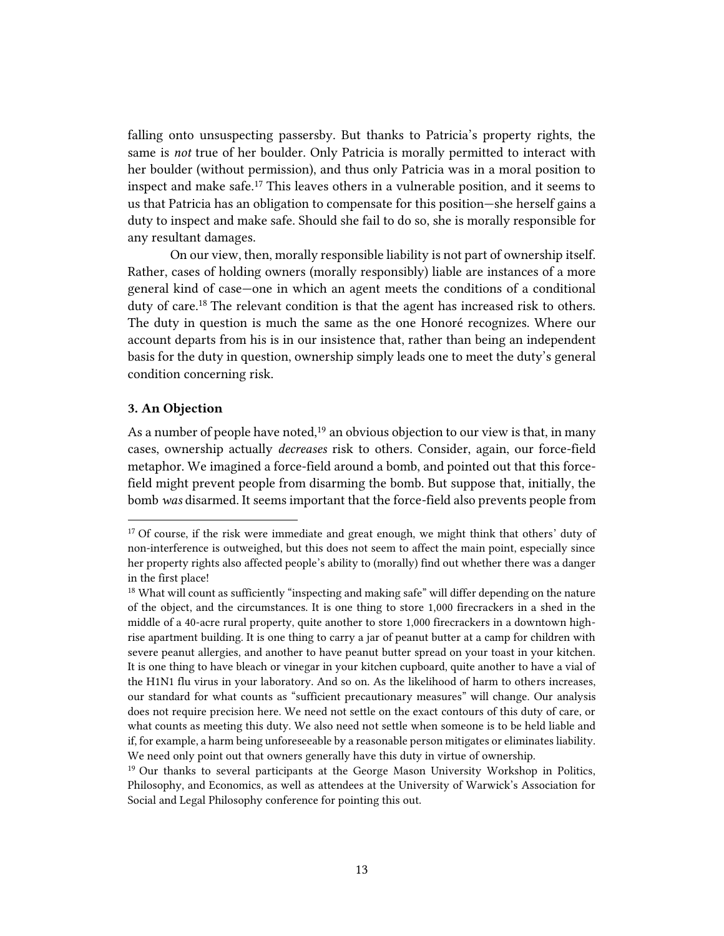falling onto unsuspecting passersby. But thanks to Patricia's property rights, the same is *not* true of her boulder. Only Patricia is morally permitted to interact with her boulder (without permission), and thus only Patricia was in a moral position to inspect and make safe.<sup>17</sup> This leaves others in a vulnerable position, and it seems to us that Patricia has an obligation to compensate for this position—she herself gains a duty to inspect and make safe. Should she fail to do so, she is morally responsible for any resultant damages.

On our view, then, morally responsible liability is not part of ownership itself. Rather, cases of holding owners (morally responsibly) liable are instances of a more general kind of case—one in which an agent meets the conditions of a conditional duty of care.<sup>18</sup> The relevant condition is that the agent has increased risk to others. The duty in question is much the same as the one Honoré recognizes. Where our account departs from his is in our insistence that, rather than being an independent basis for the duty in question, ownership simply leads one to meet the duty's general condition concerning risk.

### **3. An Objection**

 $\overline{a}$ 

As a number of people have noted,<sup>19</sup> an obvious objection to our view is that, in many cases, ownership actually *decreases* risk to others. Consider, again, our force-field metaphor. We imagined a force-field around a bomb, and pointed out that this forcefield might prevent people from disarming the bomb. But suppose that, initially, the bomb *was* disarmed. It seems important that the force-field also prevents people from

<sup>&</sup>lt;sup>17</sup> Of course, if the risk were immediate and great enough, we might think that others' duty of non-interference is outweighed, but this does not seem to affect the main point, especially since her property rights also affected people's ability to (morally) find out whether there was a danger in the first place!

<sup>&</sup>lt;sup>18</sup> What will count as sufficiently "inspecting and making safe" will differ depending on the nature of the object, and the circumstances. It is one thing to store 1,000 firecrackers in a shed in the middle of a 40-acre rural property, quite another to store 1,000 firecrackers in a downtown highrise apartment building. It is one thing to carry a jar of peanut butter at a camp for children with severe peanut allergies, and another to have peanut butter spread on your toast in your kitchen. It is one thing to have bleach or vinegar in your kitchen cupboard, quite another to have a vial of the H1N1 flu virus in your laboratory. And so on. As the likelihood of harm to others increases, our standard for what counts as "sufficient precautionary measures" will change. Our analysis does not require precision here. We need not settle on the exact contours of this duty of care, or what counts as meeting this duty. We also need not settle when someone is to be held liable and if, for example, a harm being unforeseeable by a reasonable person mitigates or eliminates liability. We need only point out that owners generally have this duty in virtue of ownership.

<sup>19</sup> Our thanks to several participants at the George Mason University Workshop in Politics, Philosophy, and Economics, as well as attendees at the University of Warwick's Association for Social and Legal Philosophy conference for pointing this out.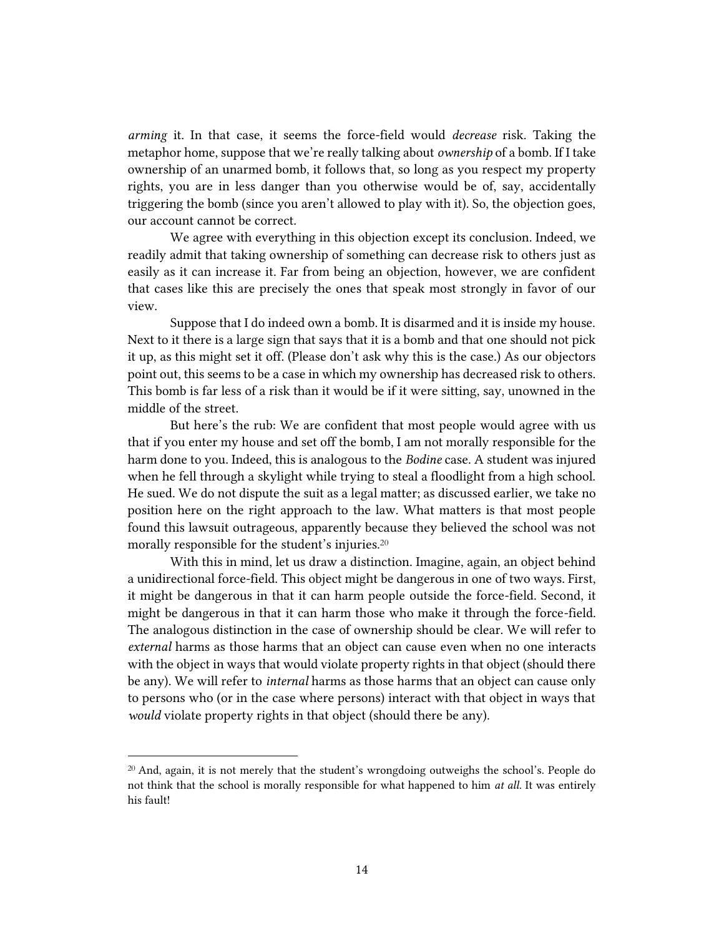*arming* it. In that case, it seems the force-field would *decrease* risk. Taking the metaphor home, suppose that we're really talking about *ownership* of a bomb. If I take ownership of an unarmed bomb, it follows that, so long as you respect my property rights, you are in less danger than you otherwise would be of, say, accidentally triggering the bomb (since you aren't allowed to play with it). So, the objection goes, our account cannot be correct.

We agree with everything in this objection except its conclusion. Indeed, we readily admit that taking ownership of something can decrease risk to others just as easily as it can increase it. Far from being an objection, however, we are confident that cases like this are precisely the ones that speak most strongly in favor of our view.

Suppose that I do indeed own a bomb. It is disarmed and it is inside my house. Next to it there is a large sign that says that it is a bomb and that one should not pick it up, as this might set it off. (Please don't ask why this is the case.) As our objectors point out, this seems to be a case in which my ownership has decreased risk to others. This bomb is far less of a risk than it would be if it were sitting, say, unowned in the middle of the street.

But here's the rub: We are confident that most people would agree with us that if you enter my house and set off the bomb, I am not morally responsible for the harm done to you. Indeed, this is analogous to the *Bodine* case. A student was injured when he fell through a skylight while trying to steal a floodlight from a high school. He sued. We do not dispute the suit as a legal matter; as discussed earlier, we take no position here on the right approach to the law. What matters is that most people found this lawsuit outrageous, apparently because they believed the school was not morally responsible for the student's injuries.<sup>20</sup>

With this in mind, let us draw a distinction. Imagine, again, an object behind a unidirectional force-field. This object might be dangerous in one of two ways. First, it might be dangerous in that it can harm people outside the force-field. Second, it might be dangerous in that it can harm those who make it through the force-field. The analogous distinction in the case of ownership should be clear. We will refer to *external* harms as those harms that an object can cause even when no one interacts with the object in ways that would violate property rights in that object (should there be any). We will refer to *internal* harms as those harms that an object can cause only to persons who (or in the case where persons) interact with that object in ways that *would* violate property rights in that object (should there be any).

 $20$  And, again, it is not merely that the student's wrongdoing outweighs the school's. People do not think that the school is morally responsible for what happened to him *at all.* It was entirely his fault!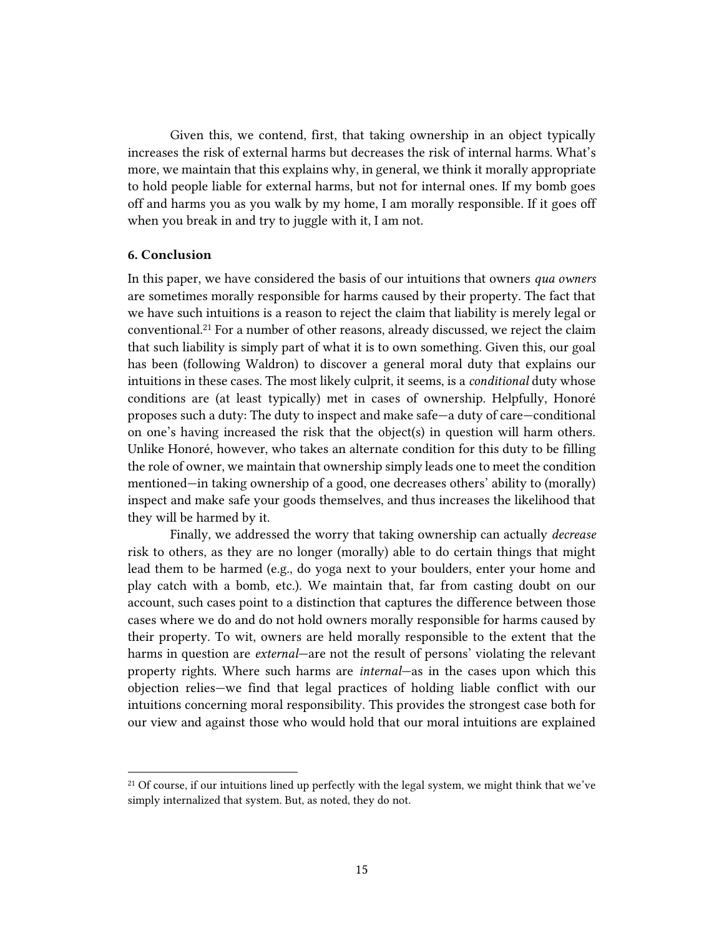Given this, we contend, first, that taking ownership in an object typically increases the risk of external harms but decreases the risk of internal harms. What's more, we maintain that this explains why, in general, we think it morally appropriate to hold people liable for external harms, but not for internal ones. If my bomb goes off and harms you as you walk by my home, I am morally responsible. If it goes off when you break in and try to juggle with it, I am not.

### **6. Conclusion**

 $\overline{a}$ 

In this paper, we have considered the basis of our intuitions that owners *qua owners*  are sometimes morally responsible for harms caused by their property. The fact that we have such intuitions is a reason to reject the claim that liability is merely legal or conventional.<sup>21</sup> For a number of other reasons, already discussed, we reject the claim that such liability is simply part of what it is to own something. Given this, our goal has been (following Waldron) to discover a general moral duty that explains our intuitions in these cases. The most likely culprit, it seems, is a *conditional* duty whose conditions are (at least typically) met in cases of ownership. Helpfully, Honoré proposes such a duty: The duty to inspect and make safe—a duty of care—conditional on one's having increased the risk that the object(s) in question will harm others. Unlike Honoré, however, who takes an alternate condition for this duty to be filling the role of owner, we maintain that ownership simply leads one to meet the condition mentioned—in taking ownership of a good, one decreases others' ability to (morally) inspect and make safe your goods themselves, and thus increases the likelihood that they will be harmed by it.

Finally, we addressed the worry that taking ownership can actually *decrease* risk to others, as they are no longer (morally) able to do certain things that might lead them to be harmed (e.g., do yoga next to your boulders, enter your home and play catch with a bomb, etc.). We maintain that, far from casting doubt on our account, such cases point to a distinction that captures the difference between those cases where we do and do not hold owners morally responsible for harms caused by their property. To wit, owners are held morally responsible to the extent that the harms in question are *external*—are not the result of persons' violating the relevant property rights. Where such harms are *internal*—as in the cases upon which this objection relies—we find that legal practices of holding liable conflict with our intuitions concerning moral responsibility. This provides the strongest case both for our view and against those who would hold that our moral intuitions are explained

<sup>&</sup>lt;sup>21</sup> Of course, if our intuitions lined up perfectly with the legal system, we might think that we've simply internalized that system. But, as noted, they do not.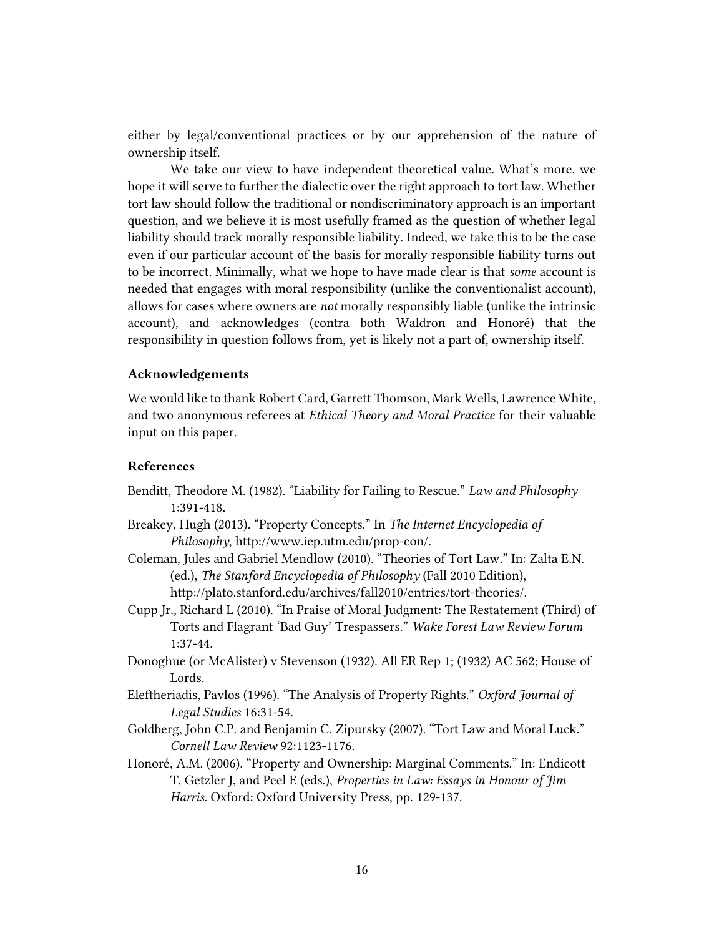either by legal/conventional practices or by our apprehension of the nature of ownership itself.

We take our view to have independent theoretical value. What's more, we hope it will serve to further the dialectic over the right approach to tort law. Whether tort law should follow the traditional or nondiscriminatory approach is an important question, and we believe it is most usefully framed as the question of whether legal liability should track morally responsible liability. Indeed, we take this to be the case even if our particular account of the basis for morally responsible liability turns out to be incorrect. Minimally, what we hope to have made clear is that *some* account is needed that engages with moral responsibility (unlike the conventionalist account), allows for cases where owners are *not* morally responsibly liable (unlike the intrinsic account), and acknowledges (contra both Waldron and Honoré) that the responsibility in question follows from, yet is likely not a part of, ownership itself.

### **Acknowledgements**

We would like to thank Robert Card, Garrett Thomson, Mark Wells, Lawrence White, and two anonymous referees at *Ethical Theory and Moral Practice* for their valuable input on this paper.

### **References**

- Benditt, Theodore M. (1982). "Liability for Failing to Rescue." *Law and Philosophy* 1:391-418.
- Breakey, Hugh (2013). "Property Concepts." In *The Internet Encyclopedia of Philosophy*, http://www.iep.utm.edu/prop-con/.
- Coleman, Jules and Gabriel Mendlow (2010). "Theories of Tort Law." In: Zalta E.N. (ed.), *The Stanford Encyclopedia of Philosophy* (Fall 2010 Edition), http://plato.stanford.edu/archives/fall2010/entries/tort-theories/.
- Cupp Jr., Richard L (2010). "In Praise of Moral Judgment: The Restatement (Third) of Torts and Flagrant 'Bad Guy' Trespassers." *Wake Forest Law Review Forum* 1:37-44.
- Donoghue (or McAlister) v Stevenson (1932). All ER Rep 1; (1932) AC 562; House of Lords.
- Eleftheriadis, Pavlos (1996). "The Analysis of Property Rights." *Oxford Journal of Legal Studies* 16:31-54.
- Goldberg, John C.P. and Benjamin C. Zipursky (2007). "Tort Law and Moral Luck." *Cornell Law Review* 92:1123-1176.
- Honoré, A.M. (2006). "Property and Ownership: Marginal Comments." In: Endicott T, Getzler J, and Peel E (eds.), *Properties in Law: Essays in Honour of Jim Harris.* Oxford: Oxford University Press, pp. 129-137.